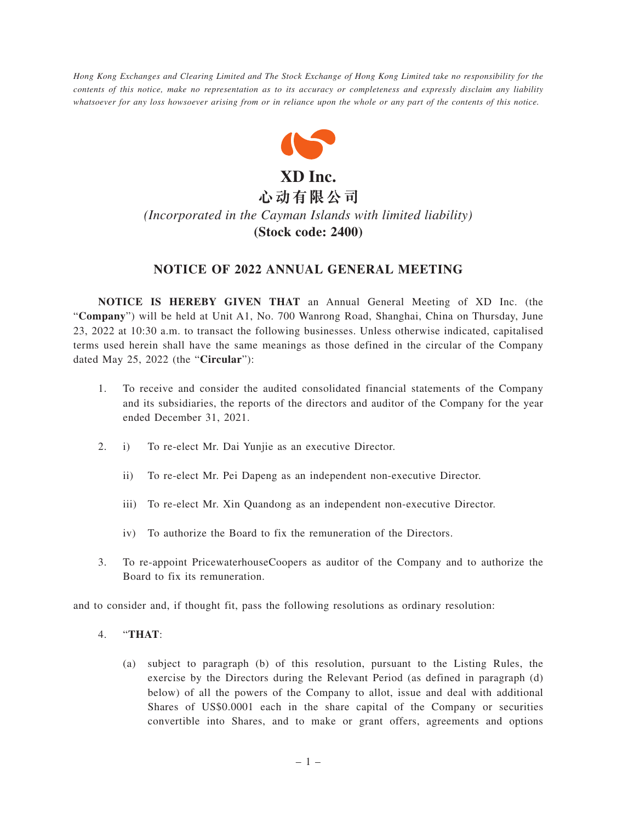*Hong Kong Exchanges and Clearing Limited and The Stock Exchange of Hong Kong Limited take no responsibility for the contents of this notice, make no representation as to its accuracy or completeness and expressly disclaim any liability whatsoever for any loss howsoever arising from or in reliance upon the whole or any part of the contents of this notice.*



## *(Incorporated in the Cayman Islands with limited liability)* **(Stock code: 2400)**

## **NOTICE OF 2022 ANNUAL GENERAL MEETING**

**NOTICE IS HEREBY GIVEN THAT** an Annual General Meeting of XD Inc. (the "**Company**") will be held at Unit A1, No. 700 Wanrong Road, Shanghai, China on Thursday, June 23, 2022 at 10:30 a.m. to transact the following businesses. Unless otherwise indicated, capitalised terms used herein shall have the same meanings as those defined in the circular of the Company dated May 25, 2022 (the "**Circular**"):

- 1. To receive and consider the audited consolidated financial statements of the Company and its subsidiaries, the reports of the directors and auditor of the Company for the year ended December 31, 2021.
- 2. i) To re-elect Mr. Dai Yunjie as an executive Director.
	- ii) To re-elect Mr. Pei Dapeng as an independent non-executive Director.
	- iii) To re-elect Mr. Xin Quandong as an independent non-executive Director.
	- iv) To authorize the Board to fix the remuneration of the Directors.
- 3. To re-appoint PricewaterhouseCoopers as auditor of the Company and to authorize the Board to fix its remuneration.

and to consider and, if thought fit, pass the following resolutions as ordinary resolution:

- 4. "**THAT**:
	- (a) subject to paragraph (b) of this resolution, pursuant to the Listing Rules, the exercise by the Directors during the Relevant Period (as defined in paragraph (d) below) of all the powers of the Company to allot, issue and deal with additional Shares of US\$0.0001 each in the share capital of the Company or securities convertible into Shares, and to make or grant offers, agreements and options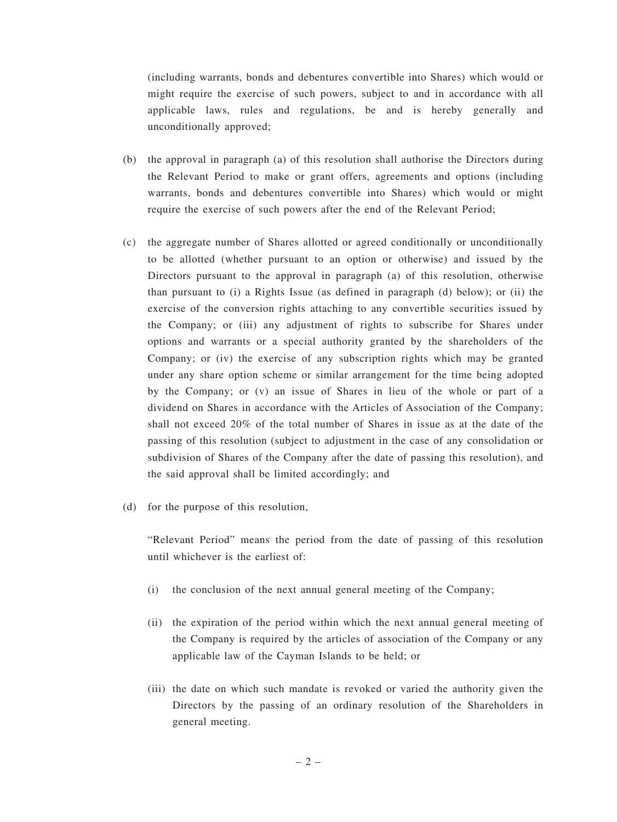(including warrants, bonds and debentures convertible into Shares) which would or might require the exercise of such powers, subject to and in accordance with all applicable laws, rules and regulations, be and is hereby generally and unconditionally approved;

- (b) the approval in paragraph (a) of this resolution shall authorise the Directors during the Relevant Period to make or grant offers, agreements and options (including warrants, bonds and debentures convertible into Shares) which would or might require the exercise of such powers after the end of the Relevant Period;
- (c) the aggregate number of Shares allotted or agreed conditionally or unconditionally to be allotted (whether pursuant to an option or otherwise) and issued by the Directors pursuant to the approval in paragraph (a) of this resolution, otherwise than pursuant to (i) a Rights Issue (as defined in paragraph (d) below); or (ii) the exercise of the conversion rights attaching to any convertible securities issued by the Company; or (iii) any adjustment of rights to subscribe for Shares under options and warrants or a special authority granted by the shareholders of the Company; or (iv) the exercise of any subscription rights which may be granted under any share option scheme or similar arrangement for the time being adopted by the Company; or (v) an issue of Shares in lieu of the whole or part of a dividend on Shares in accordance with the Articles of Association of the Company; shall not exceed 20% of the total number of Shares in issue as at the date of the passing of this resolution (subject to adjustment in the case of any consolidation or subdivision of Shares of the Company after the date of passing this resolution), and the said approval shall be limited accordingly; and
- (d) for the purpose of this resolution,

"Relevant Period" means the period from the date of passing of this resolution until whichever is the earliest of:

- (i) the conclusion of the next annual general meeting of the Company;
- (ii) the expiration of the period within which the next annual general meeting of the Company is required by the articles of association of the Company or any applicable law of the Cayman Islands to be held; or
- (iii) the date on which such mandate is revoked or varied the authority given the Directors by the passing of an ordinary resolution of the Shareholders in general meeting.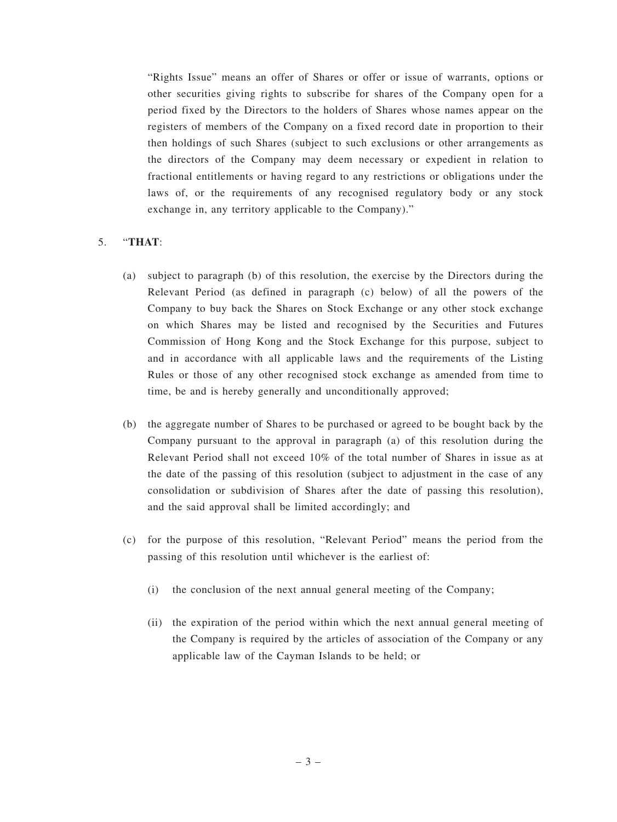"Rights Issue" means an offer of Shares or offer or issue of warrants, options or other securities giving rights to subscribe for shares of the Company open for a period fixed by the Directors to the holders of Shares whose names appear on the registers of members of the Company on a fixed record date in proportion to their then holdings of such Shares (subject to such exclusions or other arrangements as the directors of the Company may deem necessary or expedient in relation to fractional entitlements or having regard to any restrictions or obligations under the laws of, or the requirements of any recognised regulatory body or any stock exchange in, any territory applicable to the Company)."

## 5. "**THAT**:

- (a) subject to paragraph (b) of this resolution, the exercise by the Directors during the Relevant Period (as defined in paragraph (c) below) of all the powers of the Company to buy back the Shares on Stock Exchange or any other stock exchange on which Shares may be listed and recognised by the Securities and Futures Commission of Hong Kong and the Stock Exchange for this purpose, subject to and in accordance with all applicable laws and the requirements of the Listing Rules or those of any other recognised stock exchange as amended from time to time, be and is hereby generally and unconditionally approved;
- (b) the aggregate number of Shares to be purchased or agreed to be bought back by the Company pursuant to the approval in paragraph (a) of this resolution during the Relevant Period shall not exceed 10% of the total number of Shares in issue as at the date of the passing of this resolution (subject to adjustment in the case of any consolidation or subdivision of Shares after the date of passing this resolution), and the said approval shall be limited accordingly; and
- (c) for the purpose of this resolution, "Relevant Period" means the period from the passing of this resolution until whichever is the earliest of:
	- (i) the conclusion of the next annual general meeting of the Company;
	- (ii) the expiration of the period within which the next annual general meeting of the Company is required by the articles of association of the Company or any applicable law of the Cayman Islands to be held; or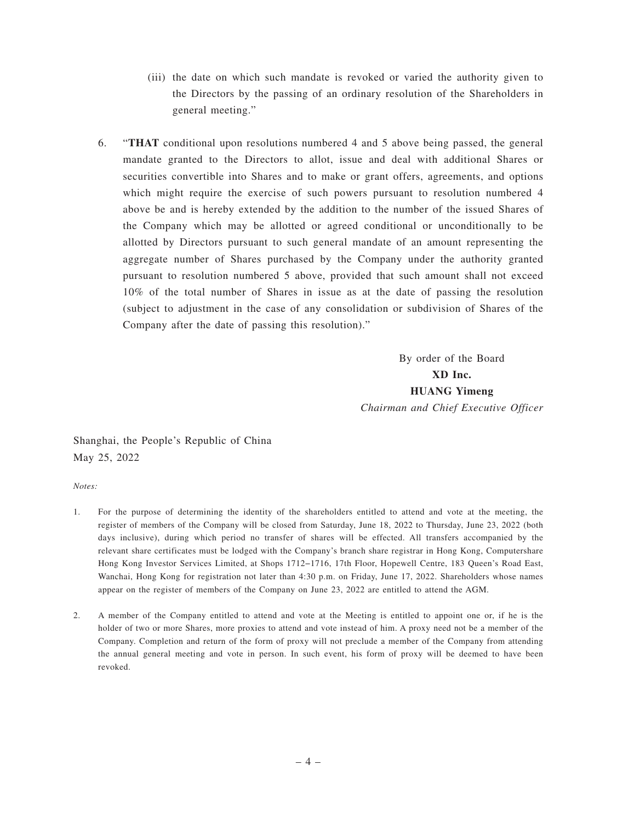- (iii) the date on which such mandate is revoked or varied the authority given to the Directors by the passing of an ordinary resolution of the Shareholders in general meeting."
- 6. "**THAT** conditional upon resolutions numbered 4 and 5 above being passed, the general mandate granted to the Directors to allot, issue and deal with additional Shares or securities convertible into Shares and to make or grant offers, agreements, and options which might require the exercise of such powers pursuant to resolution numbered 4 above be and is hereby extended by the addition to the number of the issued Shares of the Company which may be allotted or agreed conditional or unconditionally to be allotted by Directors pursuant to such general mandate of an amount representing the aggregate number of Shares purchased by the Company under the authority granted pursuant to resolution numbered 5 above, provided that such amount shall not exceed 10% of the total number of Shares in issue as at the date of passing the resolution (subject to adjustment in the case of any consolidation or subdivision of Shares of the Company after the date of passing this resolution)."

By order of the Board **XD Inc. HUANG Yimeng** *Chairman and Chief Executive Officer*

Shanghai, the People's Republic of China May 25, 2022

*Notes:*

- 1. For the purpose of determining the identity of the shareholders entitled to attend and vote at the meeting, the register of members of the Company will be closed from Saturday, June 18, 2022 to Thursday, June 23, 2022 (both days inclusive), during which period no transfer of shares will be effected. All transfers accompanied by the relevant share certificates must be lodged with the Company's branch share registrar in Hong Kong, Computershare Hong Kong Investor Services Limited, at Shops 1712−1716, 17th Floor, Hopewell Centre, 183 Queen's Road East, Wanchai, Hong Kong for registration not later than 4:30 p.m. on Friday, June 17, 2022. Shareholders whose names appear on the register of members of the Company on June 23, 2022 are entitled to attend the AGM.
- 2. A member of the Company entitled to attend and vote at the Meeting is entitled to appoint one or, if he is the holder of two or more Shares, more proxies to attend and vote instead of him. A proxy need not be a member of the Company. Completion and return of the form of proxy will not preclude a member of the Company from attending the annual general meeting and vote in person. In such event, his form of proxy will be deemed to have been revoked.